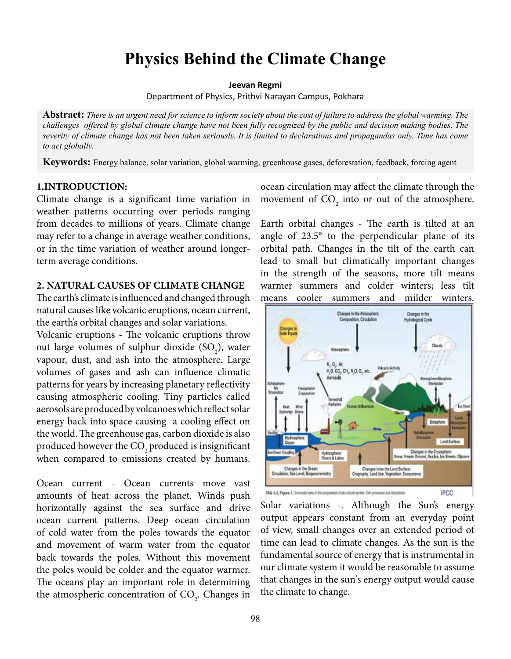# **Physics Behind the Climate Change**

**Jeevan Regmi**

Department of Physics, Prithvi Narayan Campus, Pokhara

**Abstract:** *There is an urgent need for science to inform society about the cost of failure to address the global warming. The challenges offered by global climate change have not been fully recognized by the public and decision making bodies. The severity of climate change has not been taken seriously. It is limited to declarations and propagandas only. Time has come to act globally.*

**Keywords:** Energy balance, solar variation, global warming, greenhouse gases, deforestation, feedback, forcing agent

### **1.INTRODUCTION:**

Climate change is a significant time variation in weather patterns occurring over periods ranging from decades to millions of years. Climate change may refer to a change in average weather conditions, or in the time variation of weather around longerterm average conditions.

### **2. NATURAL CAUSES OF CLIMATE CHANGE**

The earth's climate is influenced and changed through natural causes like volcanic eruptions, ocean current, the earth's orbital changes and solar variations.

Volcanic eruptions - The volcanic eruptions throw out large volumes of sulphur dioxide  $(SO_2)$ , water vapour, dust, and ash into the atmosphere. Large volumes of gases and ash can influence climatic patterns for years by increasing planetary reflectivity causing atmospheric cooling. Tiny particles called aerosols are produced by volcanoes which reflect solar energy back into space causing a cooling effect on the world. The greenhouse gas, carbon dioxide is also produced however the CO<sub>2</sub> produced is insignificant when compared to emissions created by humans.

Ocean current - Ocean currents move vast amounts of heat across the planet. Winds push horizontally against the sea surface and drive ocean current patterns. Deep ocean circulation of cold water from the poles towards the equator and movement of warm water from the equator back towards the poles. Without this movement the poles would be colder and the equator warmer. The oceans play an important role in determining the atmospheric concentration of  $CO<sub>2</sub>$ . Changes in ocean circulation may affect the climate through the movement of  $CO<sub>2</sub>$  into or out of the atmosphere.

Earth orbital changes - The earth is tilted at an angle of 23.5° to the perpendicular plane of its orbital path. Changes in the tilt of the earth can lead to small but climatically important changes in the strength of the seasons, more tilt means warmer summers and colder winters; less tilt means cooler summers and milder winters.



Solar variations -. Although the Sun's energy output appears constant from an everyday point of view, small changes over an extended period of time can lead to climate changes. As the sun is the fundamental source of energy that is instrumental in our climate system it would be reasonable to assume that changes in the sun's energy output would cause the climate to change.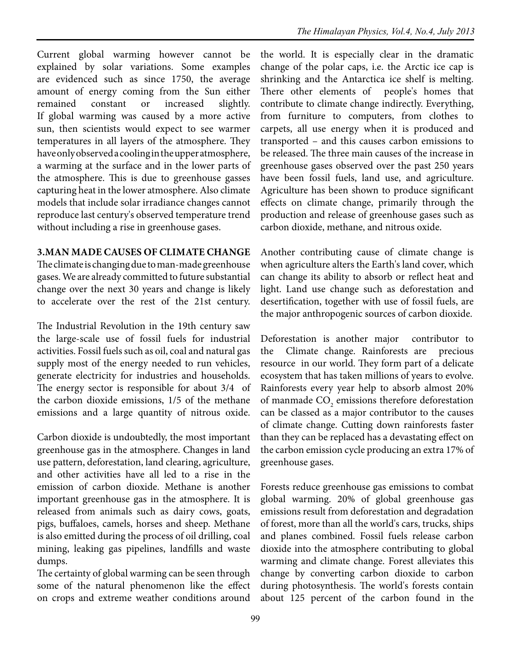Current global warming however cannot be explained by solar variations. Some examples are evidenced such as since 1750, the average amount of energy coming from the Sun either remained constant or increased slightly. If global warming was caused by a more active sun, then scientists would expect to see warmer temperatures in all layers of the atmosphere. They have only observed a cooling in the upper atmosphere, a warming at the surface and in the lower parts of the atmosphere. This is due to greenhouse gasses capturing heat in the lower atmosphere. Also climate models that include solar irradiance changes cannot reproduce last century's observed temperature trend without including a rise in greenhouse gases.

# **3.MAN MADE CAUSES OF CLIMATE CHANGE**

The climate is changing due to man-made greenhouse gases. We are already committed to future substantial change over the next 30 years and change is likely to accelerate over the rest of the 21st century.

The Industrial Revolution in the 19th century saw the large-scale use of fossil fuels for industrial activities. Fossil fuels such as oil, coal and natural gas supply most of the energy needed to run vehicles, generate electricity for industries and households. The energy sector is responsible for about 3/4 of the carbon dioxide emissions, 1/5 of the methane emissions and a large quantity of nitrous oxide.

Carbon dioxide is undoubtedly, the most important greenhouse gas in the atmosphere. Changes in land use pattern, deforestation, land clearing, agriculture, and other activities have all led to a rise in the emission of carbon dioxide. Methane is another important greenhouse gas in the atmosphere. It is released from animals such as dairy cows, goats, pigs, buffaloes, camels, horses and sheep. Methane is also emitted during the process of oil drilling, coal mining, leaking gas pipelines, landfills and waste dumps.

The certainty of global warming can be seen through some of the natural phenomenon like the effect on crops and extreme weather conditions around

the world. It is especially clear in the dramatic change of the polar caps, i.e. the Arctic ice cap is shrinking and the Antarctica ice shelf is melting. There other elements of people's homes that contribute to climate change indirectly. Everything, from furniture to computers, from clothes to carpets, all use energy when it is produced and transported – and this causes carbon emissions to be released. The three main causes of the increase in greenhouse gases observed over the past 250 years have been fossil fuels, land use, and agriculture. Agriculture has been shown to produce significant effects on climate change, primarily through the production and release of greenhouse gases such as carbon dioxide, methane, and nitrous oxide.

Another contributing cause of climate change is when agriculture alters the Earth's land cover, which can change its ability to absorb or reflect heat and light. Land use change such as deforestation and desertification, together with use of fossil fuels, are the major anthropogenic sources of carbon dioxide.

Deforestation is another major contributor to the Climate change. Rainforests are precious resource in our world. They form part of a delicate ecosystem that has taken millions of years to evolve. Rainforests every year help to absorb almost 20% of manmade  $\text{CO}_2$  emissions therefore deforestation can be classed as a major contributor to the causes of climate change. Cutting down rainforests faster than they can be replaced has a devastating effect on the carbon emission cycle producing an extra 17% of greenhouse gases.

Forests reduce greenhouse gas emissions to combat global warming. 20% of global greenhouse gas emissions result from deforestation and degradation of forest, more than all the world's cars, trucks, ships and planes combined. Fossil fuels release carbon dioxide into the atmosphere contributing to global warming and climate change. Forest alleviates this change by converting carbon dioxide to carbon during photosynthesis. The world's forests contain about 125 percent of the carbon found in the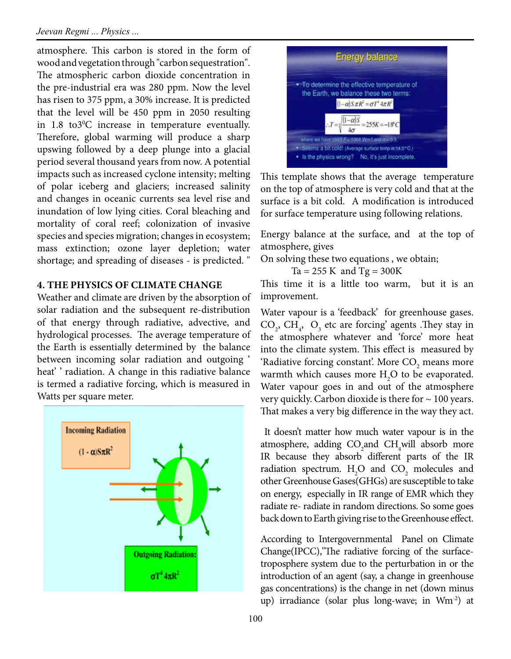atmosphere. This carbon is stored in the form of wood and vegetation through "carbon sequestration". The atmospheric carbon dioxide concentration in the pre-industrial era was 280 ppm. Now the level has risen to 375 ppm, a 30% increase. It is predicted that the level will be 450 ppm in 2050 resulting in  $1.8$  to  $3^{\circ}$ C increase in temperature eventually. Therefore, global warming will produce a sharp upswing followed by a deep plunge into a glacial period several thousand years from now. A potential impacts such as increased cyclone intensity; melting of polar iceberg and glaciers; increased salinity and changes in oceanic currents sea level rise and inundation of low lying cities. Coral bleaching and mortality of coral reef; colonization of invasive species and species migration; changes in ecosystem; mass extinction; ozone layer depletion; water shortage; and spreading of diseases - is predicted. "

### **4. THE PHYSICS OF CLIMATE CHANGE**

Weather and climate are driven by the absorption of solar radiation and the subsequent re-distribution of that energy through radiative, advective, and hydrological processes. The average temperature of the Earth is essentially determined by the balance between incoming solar radiation and outgoing ' heat' ' radiation. A change in this radiative balance is termed a radiative forcing, which is measured in Watts per square meter.





This template shows that the average temperature on the top of atmosphere is very cold and that at the surface is a bit cold. A modification is introduced for surface temperature using following relations.

Energy balance at the surface, and at the top of atmosphere, gives

On solving these two equations , we obtain;

 $Ta = 255 K$  and  $Tg = 300K$ 

This time it is a little too warm, but it is an improvement.

Water vapour is a 'feedback' for greenhouse gases.  $CO_2$ ,  $CH_4$ ,  $O_3$  etc are forcing' agents . They stay in the atmosphere whatever and 'force' more heat into the climate system. This effect is measured by 'Radiative forcing constant'. More  $\mathrm{CO}_2$  means more warmth which causes more  $H_2O$  to be evaporated. Water vapour goes in and out of the atmosphere very quickly. Carbon dioxide is there for  $\sim$  100 years. That makes a very big difference in the way they act.

 It doesn't matter how much water vapour is in the atmosphere, adding  $CO_2$ and  $CH_4$ will absorb more IR because they absorb different parts of the IR radiation spectrum.  $H_2O$  and  $CO_2$  molecules and other Greenhouse Gases(GHGs) are susceptible to take on energy, especially in IR range of EMR which they radiate re- radiate in random directions. So some goes back down to Earth giving rise to the Greenhouse effect.

According to Intergovernmental Panel on Climate Change(IPCC),"The radiative forcing of the surfacetroposphere system due to the perturbation in or the introduction of an agent (say, a change in greenhouse gas concentrations) is the change in net (down minus up) irradiance (solar plus long-wave; in Wm-2) at